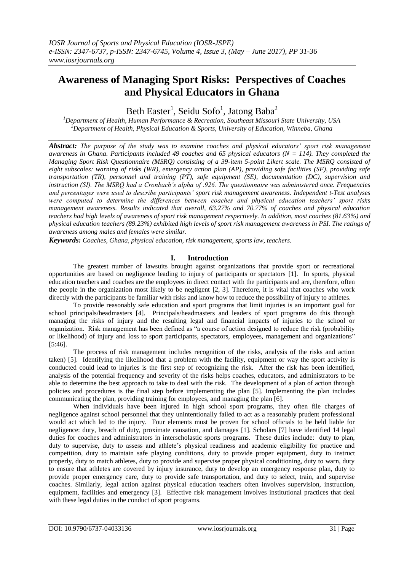# **Awareness of Managing Sport Risks: Perspectives of Coaches and Physical Educators in Ghana**

Beth Easter $^1$ , Seidu Sofo $^1$ , Jatong Baba $^2$ 

*<sup>1</sup>Department of Health, Human Performance & Recreation, Southeast Missouri State University, USA <sup>2</sup>Department of Health, Physical Education & Sports, University of Education, Winneba, Ghana*

*Abstract: The purpose of the study was to examine coaches and physical educators' sport risk management awareness in Ghana. Participants included 49 coaches and 65 physical educators (N = 114). They completed the Managing Sport Risk Questionnaire (MSRQ) consisting of a 39-item 5-point Likert scale. The MSRQ consisted of eight subscales: warning of risks (WR), emergency action plan (AP), providing safe facilities (SF), providing safe transportation (TR), personnel and training (PT), safe equipment (SE), documentation (DC), supervision and instruction (SI). The MSRQ had a Cronbach's alpha of .926. The questionnaire was administered once. Frequencies and percentages were used to describe participants' sport risk management awareness. Independent t-Test analyses were computed to determine the differences between coaches and physical education teachers' sport risks management awareness. Results indicated that overall, 63.27% and 70.77% of coaches and physical education teachers had high levels of awareness of sport risk management respectively. In addition, most coaches (81.63%) and physical education teachers (89.23%) exhibited high levels of sport risk management awareness in PSI. The ratings of awareness among males and females were similar.*

*Keywords: Coaches, Ghana, physical education, risk management, sports law, teachers.*

# **I. Introduction**

The greatest number of lawsuits brought against organizations that provide sport or recreational opportunities are based on negligence leading to injury of participants or spectators [1]. In sports, physical education teachers and coaches are the employees in direct contact with the participants and are, therefore, often the people in the organization most likely to be negligent [2, 3]. Therefore, it is vital that coaches who work directly with the participants be familiar with risks and know how to reduce the possibility of injury to athletes.

To provide reasonably safe education and sport programs that limit injuries is an important goal for school principals/headmasters [4]. Principals/headmasters and leaders of sport programs do this through managing the risks of injury and the resulting legal and financial impacts of injuries to the school or organization. Risk management has been defined as "a course of action designed to reduce the risk (probability or likelihood) of injury and loss to sport participants, spectators, employees, management and organizations" [5:46].

The process of risk management includes recognition of the risks, analysis of the risks and action taken) [5]. Identifying the likelihood that a problem with the facility, equipment or way the sport activity is conducted could lead to injuries is the first step of recognizing the risk. After the risk has been identified, analysis of the potential frequency and severity of the risks helps coaches, educators, and administrators to be able to determine the best approach to take to deal with the risk. The development of a plan of action through policies and procedures is the final step before implementing the plan [5]. Implementing the plan includes communicating the plan, providing training for employees, and managing the plan [6].

When individuals have been injured in high school sport programs, they often file charges of negligence against school personnel that they unintentionally failed to act as a reasonably prudent professional would act which led to the injury. Four elements must be proven for school officials to be held liable for negligence: duty, breach of duty, proximate causation, and damages [1]. Scholars [7] have identified 14 legal duties for coaches and administrators in interscholastic sports programs. These duties include: duty to plan, duty to supervise, duty to assess and athlete's physical readiness and academic eligibility for practice and competition, duty to maintain safe playing conditions, duty to provide proper equipment, duty to instruct properly, duty to match athletes, duty to provide and supervise proper physical conditioning, duty to warn, duty to ensure that athletes are covered by injury insurance, duty to develop an emergency response plan, duty to provide proper emergency care, duty to provide safe transportation, and duty to select, train, and supervise coaches. Similarly, legal action against physical education teachers often involves supervision, instruction, equipment, facilities and emergency [3]. Effective risk management involves institutional practices that deal with these legal duties in the conduct of sport programs.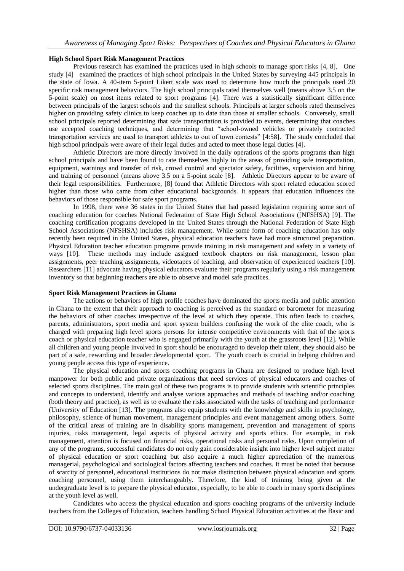## **High School Sport Risk Management Practices**

Previous research has examined the practices used in high schools to manage sport risks [4, 8]. One study [4] examined the practices of high school principals in the United States by surveying 445 principals in the state of Iowa. A 40-item 5-point Likert scale was used to determine how much the principals used 20 specific risk management behaviors. The high school principals rated themselves well (means above 3.5 on the 5-point scale) on most items related to sport programs [4]. There was a statistically significant difference between principals of the largest schools and the smallest schools. Principals at larger schools rated themselves higher on providing safety clinics to keep coaches up to date than those at smaller schools. Conversely, small school principals reported determining that safe transportation is provided to events, determining that coaches use accepted coaching techniques, and determining that "school-owned vehicles or privately contracted transportation services are used to transport athletes to out of town contests" [4:58]. The study concluded that high school principals were aware of their legal duties and acted to meet those legal duties [4].

Athletic Directors are more directly involved in the daily operations of the sports programs than high school principals and have been found to rate themselves highly in the areas of providing safe transportation, equipment, warnings and transfer of risk, crowd control and spectator safety, facilities, supervision and hiring and training of personnel (means above 3.5 on a 5-point scale [8]. Athletic Directors appear to be aware of their legal responsibilities. Furthermore, [8] found that Athletic Directors with sport related education scored higher than those who came from other educational backgrounds. It appears that education influences the behaviors of those responsible for safe sport programs.

In 1998, there were 36 states in the United States that had passed legislation requiring some sort of coaching education for coaches National Federation of State High School Associations ([NFSHSA) [9]. The coaching certification programs developed in the United States through the National Federation of State High School Associations (NFSHSA) includes risk management. While some form of coaching education has only recently been required in the United States, physical education teachers have had more structured preparation. Physical Education teacher education programs provide training in risk management and safety in a variety of ways [10]. These methods may include assigned textbook chapters on risk management, lesson plan assignments, peer teaching assignments, videotapes of teaching, and observation of experienced teachers [10]. Researchers [11] advocate having physical educators evaluate their programs regularly using a risk management inventory so that beginning teachers are able to observe and model safe practices.

# **Sport Risk Management Practices in Ghana**

The actions or behaviors of high profile coaches have dominated the sports media and public attention in Ghana to the extent that their approach to coaching is perceived as the standard or barometer for measuring the behaviors of other coaches irrespective of the level at which they operate. This often leads to coaches, parents, administrators, sport media and sport system builders confusing the work of the elite coach, who is charged with preparing high level sports persons for intense competitive environments with that of the sports coach or physical education teacher who is engaged primarily with the youth at the grassroots level [12]. While all children and young people involved in sport should be encouraged to develop their talent, they should also be part of a safe, rewarding and broader developmental sport. The youth coach is crucial in helping children and young people access this type of experience.

The physical education and sports coaching programs in Ghana are designed to produce high level manpower for both public and private organizations that need services of physical educators and coaches of selected sports disciplines. The main goal of these two programs is to provide students with scientific principles and concepts to understand, identify and analyse various approaches and methods of teaching and/or coaching (both theory and practice), as well as to evaluate the risks associated with the tasks of teaching and performance (University of Education [13]. The programs also equip students with the knowledge and skills in psychology, philosophy, science of human movement, management principles and event management among others. Some of the critical areas of training are in disability sports management, prevention and management of sports injuries, risks management, legal aspects of physical activity and sports ethics. For example, in risk management, attention is focused on financial risks, operational risks and personal risks. Upon completion of any of the programs, successful candidates do not only gain considerable insight into higher level subject matter of physical education or sport coaching but also acquire a much higher appreciation of the numerous managerial, psychological and sociological factors affecting teachers and coaches. It must be noted that because of scarcity of personnel, educational institutions do not make distinction between physical education and sports coaching personnel, using them interchangeably. Therefore, the kind of training being given at the undergraduate level is to prepare the physical educator, especially, to be able to coach in many sports disciplines at the youth level as well.

Candidates who access the physical education and sports coaching programs of the university include teachers from the Colleges of Education, teachers handling School Physical Education activities at the Basic and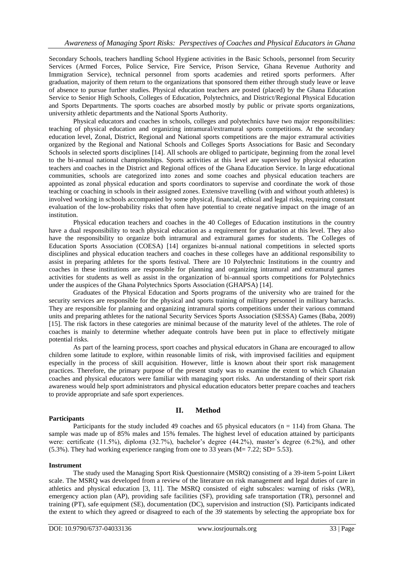Secondary Schools, teachers handling School Hygiene activities in the Basic Schools, personnel from Security Services (Armed Forces, Police Service, Fire Service, Prison Service, Ghana Revenue Authority and Immigration Service), technical personnel from sports academies and retired sports performers. After graduation, majority of them return to the organizations that sponsored them either through study leave or leave of absence to pursue further studies. Physical education teachers are posted (placed) by the Ghana Education Service to Senior High Schools, Colleges of Education, Polytechnics, and District/Regional Physical Education and Sports Departments. The sports coaches are absorbed mostly by public or private sports organizations, university athletic departments and the National Sports Authority.

Physical educators and coaches in schools, colleges and polytechnics have two major responsibilities: teaching of physical education and organizing intramural/extramural sports competitions. At the secondary education level, Zonal, District, Regional and National sports competitions are the major extramural activities organized by the Regional and National Schools and Colleges Sports Associations for Basic and Secondary Schools in selected sports disciplines [14]. All schools are obliged to participate, beginning from the zonal level to the bi-annual national championships. Sports activities at this level are supervised by physical education teachers and coaches in the District and Regional offices of the Ghana Education Service. In large educational communities, schools are categorized into zones and some coaches and physical education teachers are appointed as zonal physical education and sports coordinators to supervise and coordinate the work of those teaching or coaching in schools in their assigned zones. Extensive travelling (with and without youth athletes) is involved working in schools accompanied by some physical, financial, ethical and legal risks, requiring constant evaluation of the low-probability risks that often have potential to create negative impact on the image of an institution.

Physical education teachers and coaches in the 40 Colleges of Education institutions in the country have a dual responsibility to teach physical education as a requirement for graduation at this level. They also have the responsibility to organize both intramural and extramural games for students. The Colleges of Education Sports Association (COESA) [14] organizes bi-annual national competitions in selected sports disciplines and physical education teachers and coaches in these colleges have an additional responsibility to assist in preparing athletes for the sports festival. There are 10 Polytechnic Institutions in the country and coaches in these institutions are responsible for planning and organizing intramural and extramural games activities for students as well as assist in the organization of bi-annual sports competitions for Polytechnics under the auspices of the Ghana Polytechnics Sports Association (GHAPSA) [14].

Graduates of the Physical Education and Sports programs of the university who are trained for the security services are responsible for the physical and sports training of military personnel in military barracks. They are responsible for planning and organizing intramural sports competitions under their various command units and preparing athletes for the national Security Services Sports Association (SESSA) Games (Baba, 2009) [15]. The risk factors in these categories are minimal because of the maturity level of the athletes. The role of coaches is mainly to determine whether adequate controls have been put in place to effectively mitigate potential risks.

As part of the learning process, sport coaches and physical educators in Ghana are encouraged to allow children some latitude to explore, within reasonable limits of risk, with improvised facilities and equipment especially in the process of skill acquisition. However, little is known about their sport risk management practices. Therefore, the primary purpose of the present study was to examine the extent to which Ghanaian coaches and physical educators were familiar with managing sport risks. An understanding of their sport risk awareness would help sport administrators and physical education educators better prepare coaches and teachers to provide appropriate and safe sport experiences.

## **Participants**

# **II. Method**

Participants for the study included 49 coaches and 65 physical educators ( $n = 114$ ) from Ghana. The sample was made up of 85% males and 15% females. The highest level of education attained by participants were: certificate (11.5%), diploma (32.7%), bachelor's degree (44.2%), master's degree (6.2%), and other  $(5.3\%)$ . They had working experience ranging from one to 33 years  $(M= 7.22; SD= 5.53)$ .

## **Instrument**

The study used the Managing Sport Risk Questionnaire (MSRQ) consisting of a 39-item 5-point Likert scale. The MSRQ was developed from a review of the literature on risk management and legal duties of care in athletics and physical education [3, 11]. The MSRQ consisted of eight subscales: warning of risks (WR), emergency action plan (AP), providing safe facilities (SF), providing safe transportation (TR), personnel and training (PT), safe equipment (SE), documentation (DC), supervision and instruction (SI). Participants indicated the extent to which they agreed or disagreed to each of the 39 statements by selecting the appropriate box for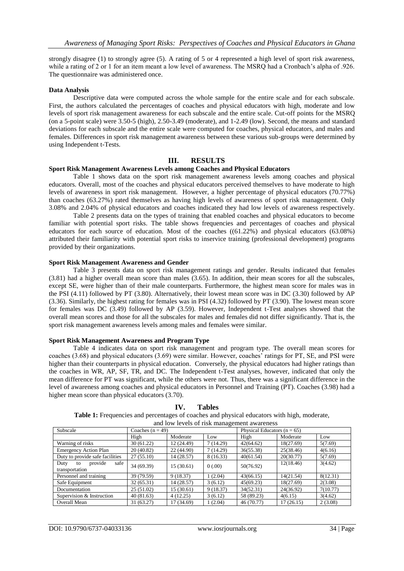strongly disagree (1) to strongly agree (5). A rating of 5 or 4 represented a high level of sport risk awareness, while a rating of 2 or 1 for an item meant a low level of awareness. The MSRO had a Cronbach's alpha of .926. The questionnaire was administered once.

## **Data Analysis**

Descriptive data were computed across the whole sample for the entire scale and for each subscale. First, the authors calculated the percentages of coaches and physical educators with high, moderate and low levels of sport risk management awareness for each subscale and the entire scale. Cut-off points for the MSRQ (on a 5-point scale) were 3.50-5 (high), 2.50-3.49 (moderate), and 1-2.49 (low). Second, the means and standard deviations for each subscale and the entire scale were computed for coaches, physical educators, and males and females. Differences in sport risk management awareness between these various sub-groups were determined by using Independent t-Tests.

## **III. RESULTS**

#### **Sport Risk Management Awareness Levels among Coaches and Physical Educators**

Table 1 shows data on the sport risk management awareness levels among coaches and physical educators. Overall, most of the coaches and physical educators perceived themselves to have moderate to high levels of awareness in sport risk management. However, a higher percentage of physical educators (70.77%) than coaches (63.27%) rated themselves as having high levels of awareness of sport risk management. Only 3.08% and 2.04% of physical educators and coaches indicated they had low levels of awareness respectively.

Table 2 presents data on the types of training that enabled coaches and physical educators to become familiar with potential sport risks. The table shows frequencies and percentages of coaches and physical educators for each source of education. Most of the coaches ((61.22%) and physical educators (63.08%) attributed their familiarity with potential sport risks to inservice training (professional development) programs provided by their organizations.

#### **Sport Risk Management Awareness and Gender**

Table 3 presents data on sport risk management ratings and gender. Results indicated that females (3.81) had a higher overall mean score than males (3.65). In addition, their mean scores for all the subscales, except SE, were higher than of their male counterparts. Furthermore, the highest mean score for males was in the PSI (4.11) followed by PT (3.80). Alternatively, their lowest mean score was in DC (3.30) followed by AP (3.36). Similarly, the highest rating for females was in PSI (4.32) followed by PT (3.90). The lowest mean score for females was DC (3.49) followed by AP (3.59). However, Independent t-Test analyses showed that the overall mean scores and those for all the subscales for males and females did not differ significantly. That is, the sport risk management awareness levels among males and females were similar.

#### **Sport Risk Management Awareness and Program Type**

Table 4 indicates data on sport risk management and program type. The overall mean scores for coaches (3.68) and physical educators (3.69) were similar. However, coaches' ratings for PT, SE, and PSI were higher than their counterparts in physical education. Conversely, the physical educators had higher ratings than the coaches in WR, AP, SF, TR, and DC. The Independent t-Test analyses, however, indicated that only the mean difference for PT was significant, while the others were not. Thus, there was a significant difference in the level of awareness among coaches and physical educators in Personnel and Training (PT). Coaches (3.98) had a higher mean score than physical educators (3.70).

| and low levels of risk management awareness     |                      |            |           |                                 |           |          |  |
|-------------------------------------------------|----------------------|------------|-----------|---------------------------------|-----------|----------|--|
| Subscale                                        | Coaches ( $n = 49$ ) |            |           | Physical Educators ( $n = 65$ ) |           |          |  |
|                                                 | High                 | Moderate   | Low       | High                            | Moderate  | Low      |  |
| Warning of risks                                | 30(61.22)            | 12 (24.49) | 7(14.29)  | 42(64.62)                       | 18(27.69) | 5(7.69)  |  |
| Emergency Action Plan                           | 20(40.82)            | 22(44.90)  | 7(14.29)  | 36(55.38)                       | 25(38.46) | 4(6.16)  |  |
| Duty to provide safe facilities                 | 27(55.10)            | 14 (28.57) | 8 (16.33) | 40(61.54)                       | 20(30.77) | 5(7.69)  |  |
| provide<br>safe<br>Duty<br>to<br>transportation | 34 (69.39)           | 15(30.61)  | 0(.00)    | 50(76.92)                       | 12(18.46) | 3(4.62)  |  |
| Personnel and training                          | 39 (79.59)           | 9(18.37)   | 1(2.04)   | 43(66.15)                       | 14(21.54) | 8(12.31) |  |
| Safe Equipment                                  | 32(65.31)            | 14(28.57)  | 3(6.12)   | 45(69.23)                       | 18(27.69) | 2(3.08)  |  |
| Documentation                                   | 25(51.02)            | 15 (30.61) | 9(18.37)  | 34(52.31)                       | 24(36.92) | 7(10.77) |  |
| Supervision & Instruction                       | 40(81.63)            | 4(12.25)   | 3(6.12)   | 58 (89.23)                      | 4(6.15)   | 3(4.62)  |  |
| Overall Mean                                    | 31 (63.27)           | 17 (34.69) | 1(2.04)   | 46 (70.77)                      | 17(26.15) | 2(3.08)  |  |

#### **IV. Tables**

**Table 1:** Frequencies and percentages of coaches and physical educators with high, moderate,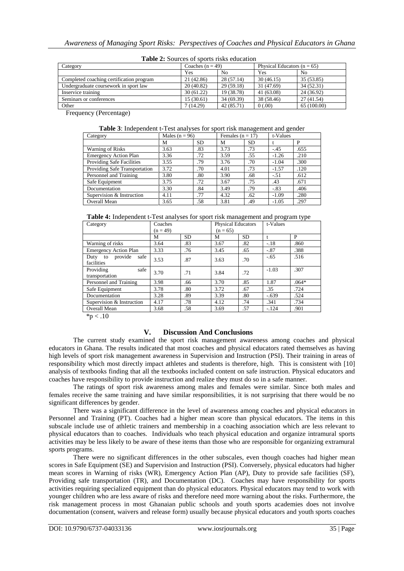| <b>Table 2.</b> Sources of sports risks concation |                    |                |                                 |                |  |  |
|---------------------------------------------------|--------------------|----------------|---------------------------------|----------------|--|--|
| Category                                          | Coaches $(n = 49)$ |                | Physical Educators ( $n = 65$ ) |                |  |  |
|                                                   | Yes                | N <sub>0</sub> | Yes                             | N <sub>0</sub> |  |  |
| Completed coaching certification program          | 21 (42.86)         | 28(57.14)      | 30(46.15)                       | 35 (53.85)     |  |  |
| Undergraduate coursework in sport law             | 20(40.82)          | 29(59.18)      | 31 (47.69)                      | 34(52.31)      |  |  |
| Inservice training                                | 30(61.22)          | 19 (38.78)     | 41 (63.08)                      | 24 (36.92)     |  |  |
| Seminars or conferences                           | 15(30.61)          | 34 (69.39)     | 38 (58.46)                      | 27(41.54)      |  |  |
| Other                                             | 7(14.29)           | 42 (85.71)     | 0(.00)                          | 65 (100.00)    |  |  |

**Table 2:** Sources of sports risks education

Frequency (Percentage)

| Category                      | Males ( $n = 96$ ) |           | Females $(n = 17)$ |           | t-Values |      |
|-------------------------------|--------------------|-----------|--------------------|-----------|----------|------|
|                               | М                  | <b>SD</b> | М                  | <b>SD</b> |          | P    |
| <b>Warning of Risks</b>       | 3.63               | .83       | 3.73               | .73       | $-.45$   | .655 |
| <b>Emergency Action Plan</b>  | 3.36               | .72       | 3.59               | .55       | $-1.26$  | .210 |
| Providing Safe Facilities     | 3.55               | .79       | 3.76               | .70       | $-1.04$  | .300 |
| Providing Safe Transportation | 3.72               | .70       | 4.01               | .73       | $-1.57$  | .120 |
| Personnel and Training        | 3.80               | .80       | 3.90               | .68       | $-.51$   | .612 |
| Safe Equipment                | 3.75               | .72       | 3.67               | .75       | .43      | .671 |
| Documentation                 | 3.30               | .84       | 3.49               | .79       | $-.83$   | .406 |
| Supervision & Instruction     | 4.11               | .77       | 4.32               | .62       | $-1.09$  | .280 |
| <b>Overall Mean</b>           | 3.65               | .58       | 3.81               | .49       | $-1.05$  | .297 |

| Table 4: Independent t-Test analyses for sport risk management and program type |
|---------------------------------------------------------------------------------|
|---------------------------------------------------------------------------------|

| Category                            | Coaches    |           | <b>Physical Educators</b> |           | t-Values |         |
|-------------------------------------|------------|-----------|---------------------------|-----------|----------|---------|
|                                     | $(n = 49)$ |           | $(n = 65)$                |           |          |         |
|                                     | М          | <b>SD</b> | М                         | <b>SD</b> |          | P       |
| Warning of risks                    | 3.64       | .83       | 3.67                      | .82       | $-.18$   | .860    |
| <b>Emergency Action Plan</b>        | 3.33       | .76       | 3.45                      | .65       | $-.87$   | .388    |
| provide<br>safe<br>Duty to          | 3.53       | .87       | 3.63                      | .70       | $-.65$   | .516    |
| facilities                          |            |           |                           |           |          |         |
| Providing<br>safe<br>transportation | 3.70       | .71       | 3.84                      | .72       | $-1.03$  | .307    |
| Personnel and Training              | 3.98       | .66       | 3.70                      | .85       | 1.87     | $.064*$ |
| Safe Equipment                      | 3.78       | .80       | 3.72                      | .67       | .35      | .724    |
| Documentation                       | 3.28       | .89       | 3.39                      | .80       | $-.639$  | .524    |
| Supervision & Instruction           | 4.17       | .78       | 4.12                      | .74       | .341     | .734    |
| <b>Overall Mean</b>                 | 3.68       | .58       | 3.69                      | .57       | $-.124$  | .901    |

 $~^{*}\text{p} < .10$ 

# **V. Discussion And Conclusions**

The current study examined the sport risk management awareness among coaches and physical educators in Ghana. The results indicated that most coaches and physical educators rated themselves as having high levels of sport risk management awareness in Supervision and Instruction (PSI). Their training in areas of responsibility which most directly impact athletes and students is therefore, high. This is consistent with [10] analysis of textbooks finding that all the textbooks included content on safe instruction. Physical educators and coaches have responsibility to provide instruction and realize they must do so in a safe manner.

The ratings of sport risk awareness among males and females were similar. Since both males and females receive the same training and have similar responsibilities, it is not surprising that there would be no significant differences by gender.

There was a significant difference in the level of awareness among coaches and physical educators in Personnel and Training (PT). Coaches had a higher mean score than physical educators. The items in this subscale include use of athletic trainers and membership in a coaching association which are less relevant to physical educators than to coaches. Individuals who teach physical education and organize intramural sports activities may be less likely to be aware of these items than those who are responsible for organizing extramural sports programs.

There were no significant differences in the other subscales, even though coaches had higher mean scores in Safe Equipment (SE) and Supervision and Instruction (PSI). Conversely, physical educators had higher mean scores in Warning of risks (WR), Emergency Action Plan (AP), Duty to provide safe facilities (SF), Providing safe transportation (TR), and Documentation (DC). Coaches may have responsibility for sports activities requiring specialized equipment than do physical educators. Physical educators may tend to work with younger children who are less aware of risks and therefore need more warning about the risks. Furthermore, the risk management process in most Ghanaian public schools and youth sports academies does not involve documentation (consent, waivers and release form) usually because physical educators and youth sports coaches